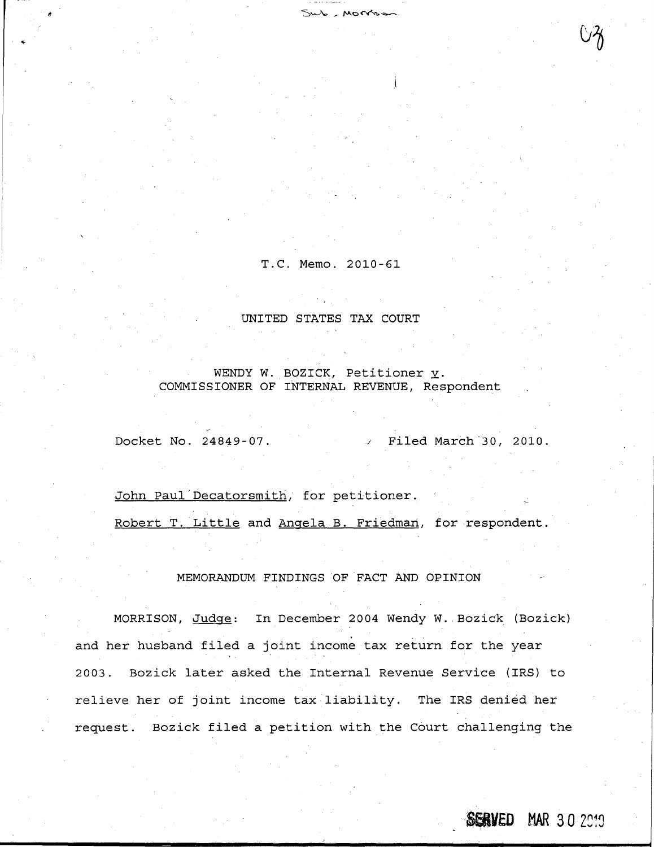T.C. Memo. 2010-61

 $Sub$  - Morrison

UNITED STATES TAX COURT

WENDY W. BOZICK, Petitioner  $\underline{v}$ . COMMISSIONER OF INTERNAL REVENUE, Respondent

Docket No. 24849-07. <br>  $\sqrt{100}$  Filed March 30, 2010.

John Paul Decatorsmith, for petitioner.

Robert T. Little and Angela B. Friedman, for respondent.

MEMORANDUM FINDINGS OF FACT AND OPINION

MORRISON, Judge: In December 2004 Wendy W. Bozick (Bozick) and her husband filed a joint income tax return for the year 2003 . Bozick later asked the Internal Revenue Service (IRS) to relieve her of joint income tax liability. The IRS denied her request. Bozick filed a petition with the Court challenging the

**SERVED MAR 30 2019**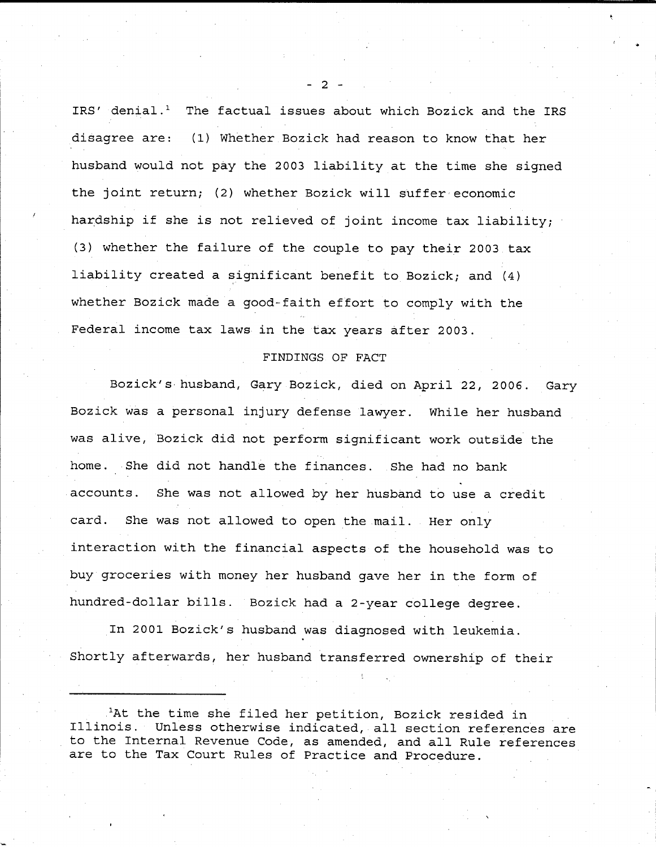IRS' denial.<sup>1</sup> The factual issues about which Bozick and the IRS disagree are: (1) Whether Bozick had reason to know that her husband would not pay the 2003 liability at the time she signed the joint return; (2) whether Bozick will suffer economic hardship if she is not relieved of joint income tax liability; (3) whether the failure of the couple to pay their 2003 tax liability created a significant benefit to Bozick; and  $(4)$ whether Bozick made a good-faith effort to comply with the Federal income tax laws in the tax years after 2003 .

### FINDINGS OF FACT

Bozick's husband, Gary Bozick, died on April 22, 2006. Gary Bozick was a personal injury defense lawyer. While her husband was alive, Bozick did not perform significant work outside the home. She did not handle the finances. She had no bank accounts. She was not allowed by her husband to use a credit card. She was not allowed to open the mail. Her only interaction with the financial aspects of the household was to buy groceries with money her husband gave her in the form of hundred-dollar bills . Bozick had a 2-year college **degree .**

In 2001 Bozick's husband was diagnosed with leukemia . Shortly afterwards, her husband transferred ownership of their

.'At the time she filed her petition, Bozick resided in Illinois . Unless otherwise indicated, all section references are to the Internal Revenue Code, as amended, and all Rule references are to the Tax Court Rules of Practice and Procedure .

- 2 -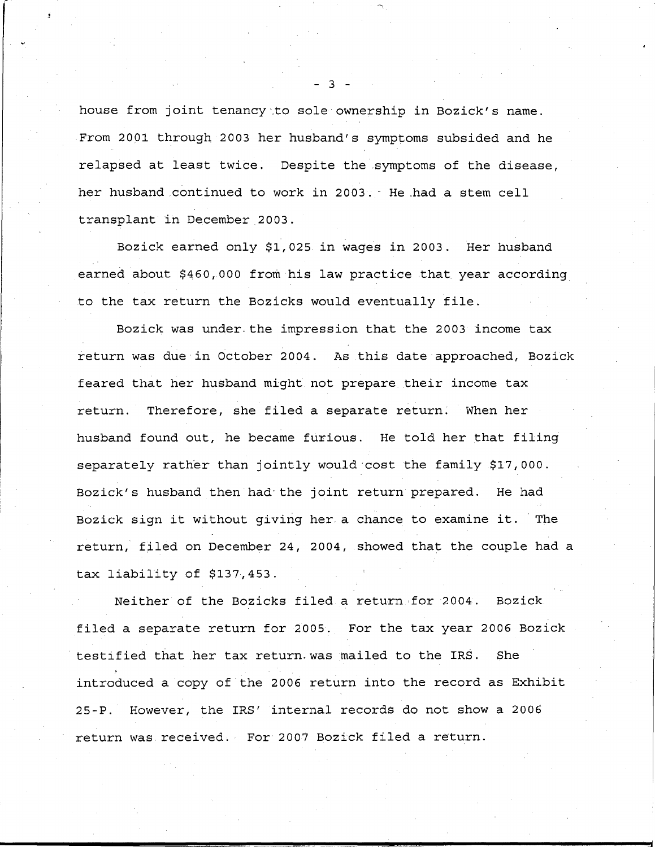house from joint tenancy.to sole ownership in Bozick's name . From 2001 through 2003 her husband's symptoms subsided and he relapsed at least twice. Despite the symptoms of the disease, her husband continued to work in 2003. He had a stem cell transplant in December 2003.

Bozick earned only \$1,025 in wages in 2003 . Her husband earned about \$460,000 from his law practice that year according to the tax return the Bozicks would eventually file .

Bozick was under : the impression that the 2003 income tax return was due in October 2004. As this date approached, Bozick feared that her husband might not prepare their income tax return. Therefore, she filed a separate return. When her husband found out, he became furious. He told her that filing separately rather than jointly would cost the family \$17,000 . Bozick's husband then had the joint return prepared. He had Bozick sign it without giving her a chance to examine it. The return, filed on December 24, 2004, showed that the couple had a tax liability of  $$137,453$ .

Neither of the Bozicks filed a return for 2004 . Bozick. filed a separate return for 2005. For the tax year 2006 Bozick testified that her tax return .was mailed to the IRS . She introduced a copy of the 2006 return into the record as Exhibit 25-P. However, the IRS' internal records do not show a 2006 return was received. For 2007 Bozick filed a return.

- 3 -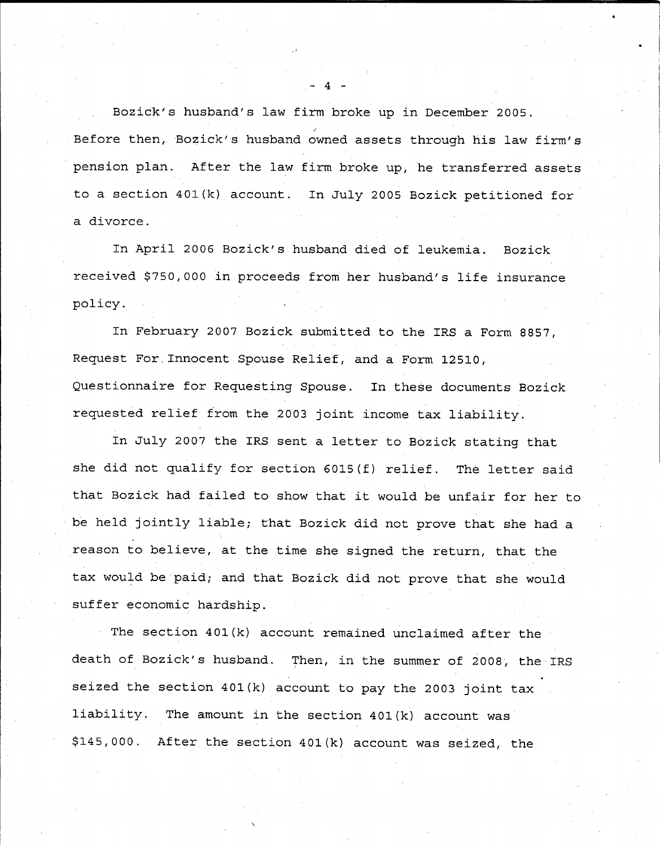Bozick's husband's law firm broke up in December 2005 . Before then, Bozick's husband owned assets through his law firm's pension plan. After the law firm broke up, he transferred assets to a section 401(k) account. In July 2005 Bozick petitioned for a divorce .

In April 2006 Bozick's husband died of leukemia. Bozick received \$750,000 in proceeds from her husband's life insurance policy .

In February 2007 Bozick submitted to the IRS a Form 8857, Request For .Innocent Spouse Relief, and a Form 12510, Questionnaire for Requesting Spouse. In these documents Bozick requested relief from the 2003 joint income tax liability .

In July 2007 the IRS sent a letter to Bozick stating that she did not qualify for section 6015(f) relief. The letter said that Bozick had failed to show that it would be unfair for her to be held jointly liable; that Bozick did not prove that she had a reason to believe, at the time she signed the return, that the tax would be paid; and that Bozick did not prove that she would suffer economic hardship.

The section 401(k) account remained unclaimed after the death of Bozick's husband. Then, in the summer of 2008, the IRS seized the section 401(k) account to pay the 2003 joint tax liability. The amount in the section  $401(k)$  account was \$145,000 . After the section 401(k) account was seized, the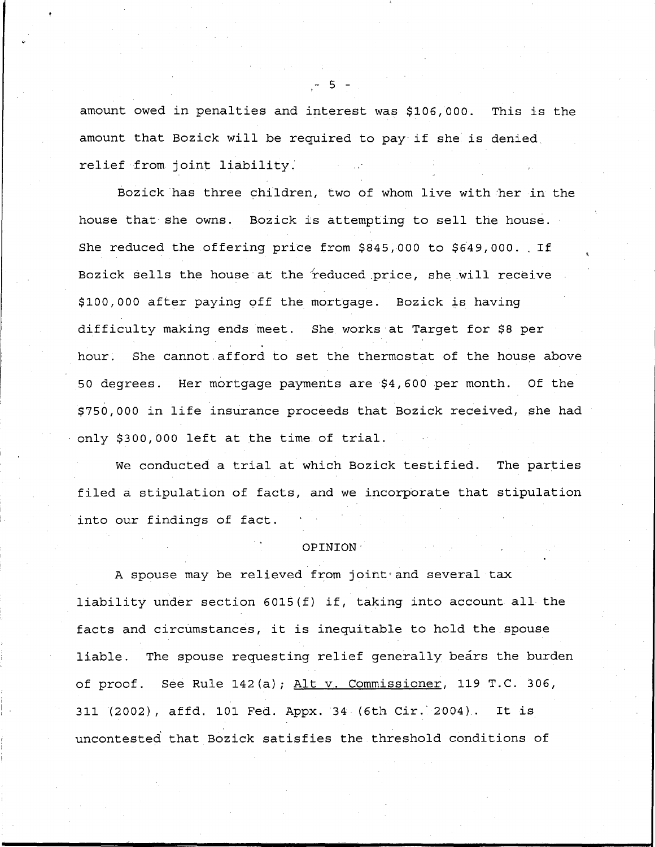amount owed in penalties and interest was \$106,000. This is the amount that Bozick will be required to pay if she is denied, relief from joint liability .

Bozick'has three children, two of whom live with her in the house that she owns. Bozick is attempting to sell the house. She reduced the offering price from  $$845,000$  to  $$649,000$ . If Bozick sells the house at the reduced price, she will receive \$100,000 after paying off the mortgage . Bozick is having difficulty making ends meet. She works at Target for \$8 per hour. She cannot afford to set the thermostat of the house above 50 degrees . Her mortgage payments are \$4,600 per month . Of the \$750,000 in life insurance proceeds that Bozick received, she had only \$300,000 left at the time of trial.

We conducted a trial at which Bozick testified. The parties filed a stipulation of facts, and we incorporate that stipulation into our findings of fact .

#### OPINION'

A spouse may be relieved from joint and several tax liability under section 6015(f) if, taking into account all the facts and circumstances, it is inequitable to hold the spouse liable. The spouse requesting relief generally bears the burden of proof. See Rule 142(a); Alt v. Commissioner, 119 T.C. 306, 311 (2002), affd. 101 Fed. Appx. 34 (6th Cir. 2004). It is uncontested that Bozick satisfies the .threshold conditions of

5 -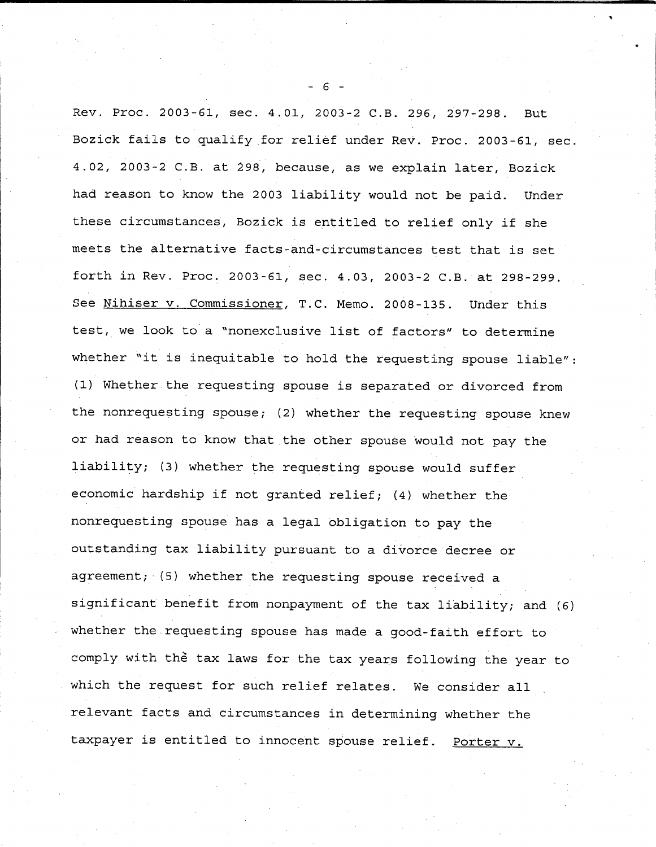Rev. Proc. 2003-61, sec. 4.01, 2003-2 C.B. 296, 297-298. But Bozick fails to qualify for relief under Rev. Proc. 2003-61, sec. 4.02, 2003-2 C.B. at 298, because, as we explain later, Bozick had reason to know the 2003 liability would not be paid. Under these circumstances, Bozick is entitled to relief only if she meets the alternative facts-and-circumstances test that is set forth in Rev. Proc. 2003-61, sec. 4.03, 2003-2 C.B. at 298-299. See Nihiser v. Commissioner, T.C. Memo. 2008-135. Under this test, we look to a "nonexclusive list of factors" to determine whether "it is inequitable to hold the requesting spouse liable" : (1) Whether-the requesting spouse is separated or divorced from the nonrequesting spouse; (2) whether the requesting spouse knew or had reason to know that the other spouse would not pay the liability; (3) whether the requesting spouse would suffer economic hardship if not granted relief; (4) whether the nonrequesting spouse has a legal obligation to pay the outstanding tax liability pursuant to a divorce decree or agreement; (5) whether the requesting spouse received a significant benefit from nonpayment of the tax liability; and (6) whether the requesting spouse has made a good-faith effort to comply with the tax laws for the tax years following the year to which the request for such relief relates. We consider all relevant facts and circumstances in determining whether the taxpayer is entitled to innocent spouse relief. Porter v.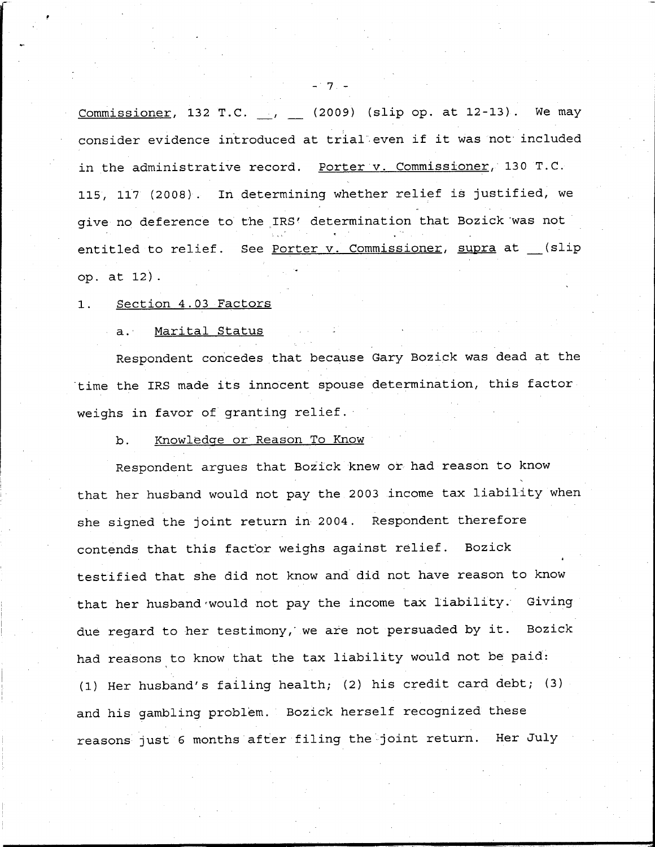Commissioner, 132 T.C.  $\qquad \qquad$  (2009) (slip op. at 12-13). We may consider evidence introduced at trial even if it was not included in the administrative record. Porter v. Commissioner, 130 T.C. 115, 117 (2008) . In determining whether relief is justified, we give no deference to the IRS' determination that Bozick was not entitled to relief. See Porter v. Commissioner, supra at \_\_(slip op. at  $12$ ).

### 1. Section 4.03 Factors

### a. Marital Status

Respondent concedes that because Gary Bozick was dead at the time the IRS made its innocent spouse determination, this factor weighs in favor of granting relief .

## b. Knowledge or Reason To Know

Respondent argues that Bozick knew or had reason to know that her husband would not pay the 2003 income tax liability when she signed the joint return in 2004 . Respondent therefore contends that this factor weighs against relief . Bozick testified that she did not know and did not have reason to know that her husband would not pay the income tax liability. Giving due regard to her testimony, we are not persuaded by it. Bozick had reasons to know that the tax liability would not be paid: (1) Her husband's failing health; (2) his credit card debt; (3) and his gambling problem. Bozick herself recognized these reasons just 6 months after filing the joint return. Her July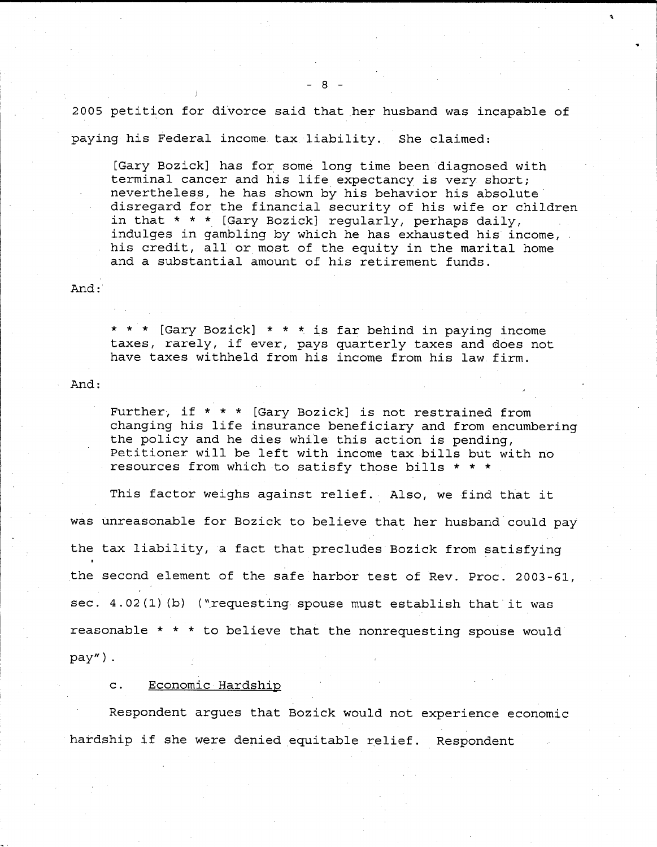2005 petition for divorce said that her husband was incapable of paying his Federal income tax liability. She claimed:

[Gary Bozick] has for some long time been diagnosed with terminal cancer and his life expectancy is very short; nevertheless, he has shown by his behavior his absolute disregard for the financial security of his wife or children in that  $* * *$  [Gary Bozick] regularly, perhaps daily, indulges in gambling by which he has exhausted his income, his credit, all or most of the equity in the marital home and a substantial amount of his retirement funds .

And :

\* \* \* [Gary Bozick] \* \* \* is far behind in paying income taxes, rarely, if ever, pays quarterly taxes and does not have taxes withheld from his income from his law firm .

And :

Further, if  $* * *$  [Gary Bozick] is not restrained from changing his life insurance beneficiary and from encumbering the policy and he dies while this action is pending, Petitioner will be left with income tax bills but with no resources from which to satisfy those bills  $* * *$ .

This factor weighs against relief. Also, we find that it was unreasonable for Bozick to believe that her husband could pay the tax liability, a fact that precludes Bozick from satisfying the second element of the safe harbor test of Rev. Proc. 2003-61, sec. 4.02(1)(b) ("requesting spouse must establish that it was reasonable \* \* \* to believe that the nonrequesting spouse would pay") .

c. Economic Hardship

i

Respondent argues that Bozick would not experience economic hardship if she were denied equitable relief . Respondent

- 8 -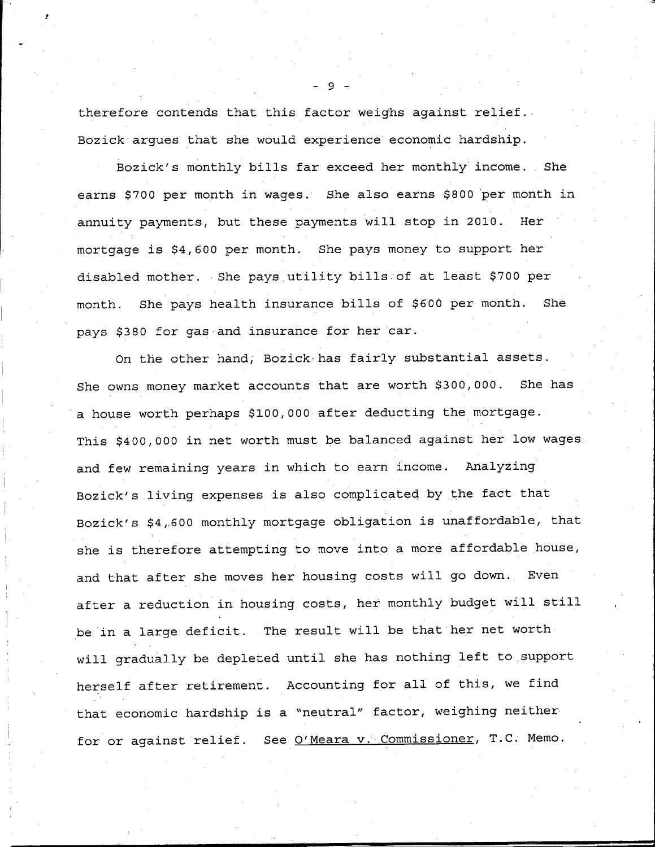therefore contends that this factor weighs against relief . . Bozick argues that she would experience'economic hardship .

Bozick's monthly bills far exceed her monthly income. She earns \$700 per month in wages. She also earns \$800 per month in annuity payments, but these payments will stop in 2010. Her mortgage is \$4,600 per month. She pays money to support her disabled mother. She pays utility bills of at least \$700 per month. She pays health insurance bills of \$600 per month. She pays \$380 for gas-and insurance for her car .

On the other hand, Bozick•has fairly substantial assets . She owns money market accounts that are worth \$300,000. She has a house worth perhaps \$100,000 after deducting the mortgage . This \$400,000 in net worth must be balanced against her low wages and few remaining years in which to earn income. Analyzing Bozick's living expenses is also complicated by the fact that Bozick's \$4,600 monthly mortgage obligation is unaffordable, that she is therefore attempting to move into a more affordable house, and that after she moves her housing costs will go down. Even after a reduction in housing costs, her monthly budget will still be in a large deficit. The result will be that her net worth will gradually be depleted until she has nothing left to support herself after retirement. Accounting for all of this, we find that economic hardship is a "neutral" factor, weighing neither for or against relief. See O'Meara v. Commissioner, T.C. Memo.

9 -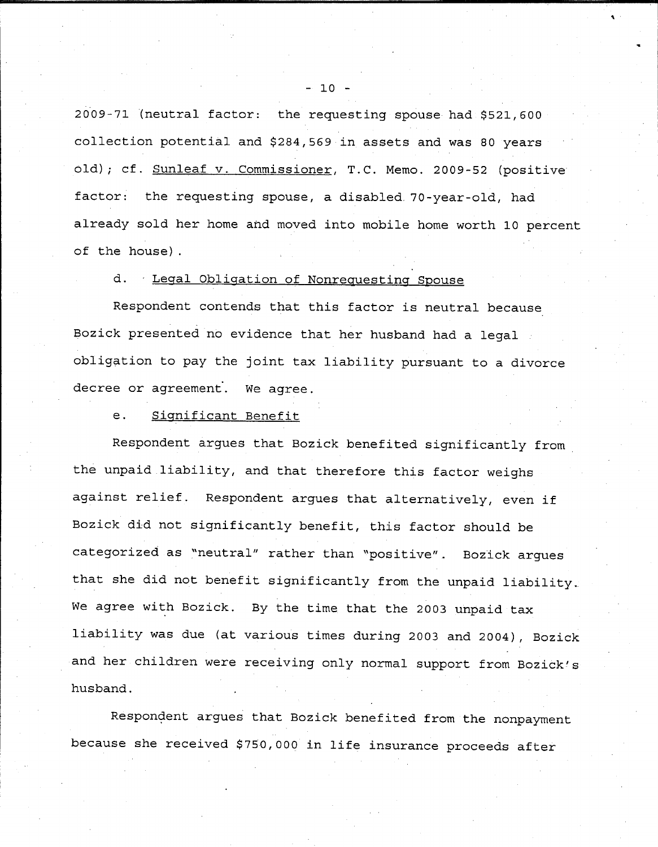2009-71 (neutral factor: the requesting spouse had \$521,600 collection potential and \$284,569 in assets and was 80 years old); cf. Sunleaf v. Commissioner, T.C. Memo. 2009-52 (positive factor: the requesting spouse, a disabled 70-year-old, had already sold her home and moved into mobile home worth 10 percent of the house) .

## d. Legal Obligation of Nonrequesting Spouse

Respondent contends that this factor is neutral because Bozick presented no evidence that her husband had a legal obligation to pay the joint tax liability pursuant to a divorce decree or agreement. We agree.

### e. Significant Benefit

Respondent argues that Bozick benefited significantly from the unpaid liability, and that therefore this factor weighs against relief. Respondent argues that alternatively, even if Bozick did not significantly benefit, this factor should be categorized as "neutral" rather than "positive" .. Bozick argues that she did not benefit significantly from the unpaid liability. We agree with Bozick. By the time that the 2003 unpaid tax liability was due (at various times during 2003 and 2004), Bozick and her children were receiving only normal support from Bozick's husband .

Respondent argues that Bozick benefited from the nonpayment because she received \$750,000 in life insurance proceeds after

#### $-10$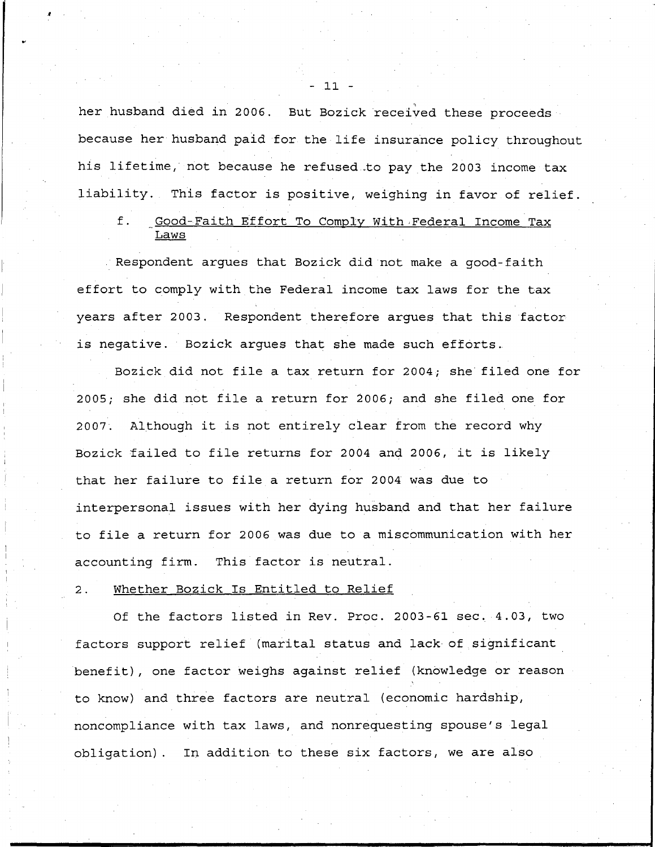her husband died in 2006. But Bozick received these proceeds because her husband paid for the life insurance policy throughout his lifetime, not because he refused to pay the 2003 income tax liability. This factor is positive, weighing in favor of relief.

## f. Good-Faith Effort To Comply With Federal Income Tax <u>Laws</u>

Respondent argues that Bozick did not make a good-faith effort to comply with the Federal income tax laws for the tax years after 2003. Respondent therefore argues that this factor is negative. Bozick arques that she made such efforts.

Bozick did not file a tax return for 2004; she filed one for 2005; she did not file a return for 2006; and she filed one for 2007. Although it is not entirely clear from the record why Bozick failed to file returns for 2004 and 2006, it is likely that her failure to file a return for 2004 was due to interpersonal issues with her dying husband and that her failure to file a return for 2006 was due to a miscommunication with her accounting firm. This factor is neutral.

### 2. Whether Bozick Is Entitled to Relief

Of the factors listed in Rev. Proc. 2003-61 sec. 4.03, two factors support relief (marital status and lack of significant benefit), one factor weighs against relief (knowledge or reason to know) and three factors are neutral (economic hardship, noncompliance with tax laws, and nonrequesting spouse's legal obligation) . In addition to these six factors, we are also

**I**